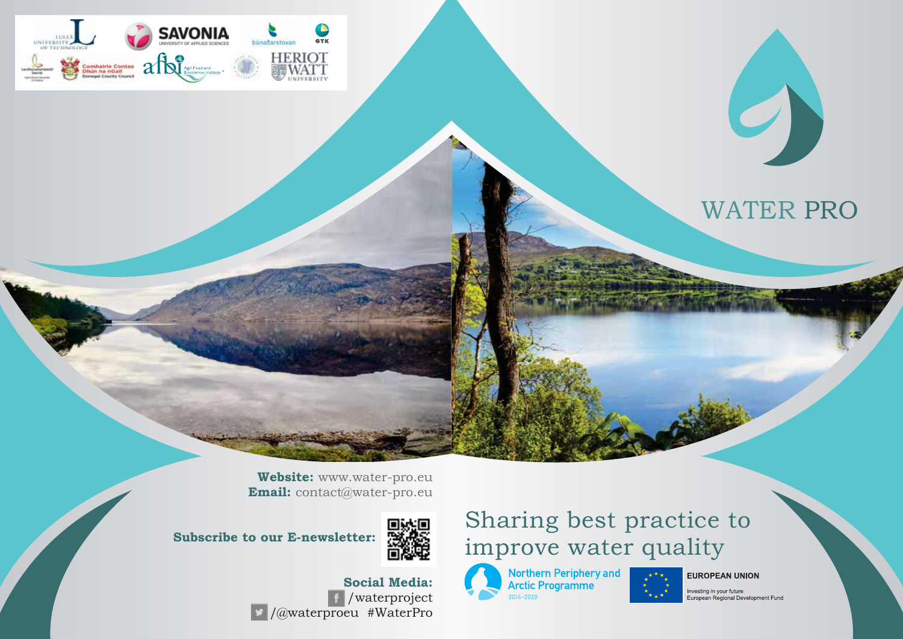

# WATER PRO

**Website:** www.water-pro.eu **Email:** contact@water-pro.eu

**Subscribe to our E-newsletter:** 



#### **Social Media:** /waterproject /@waterproeu #WaterPro

## Sharing best practice to improve water quality

Northern Periphery and<br>Arctic Programme<br>2014-2020

**EUROPEAN UNION** 

Investing in your future<br>European Regional Development Fund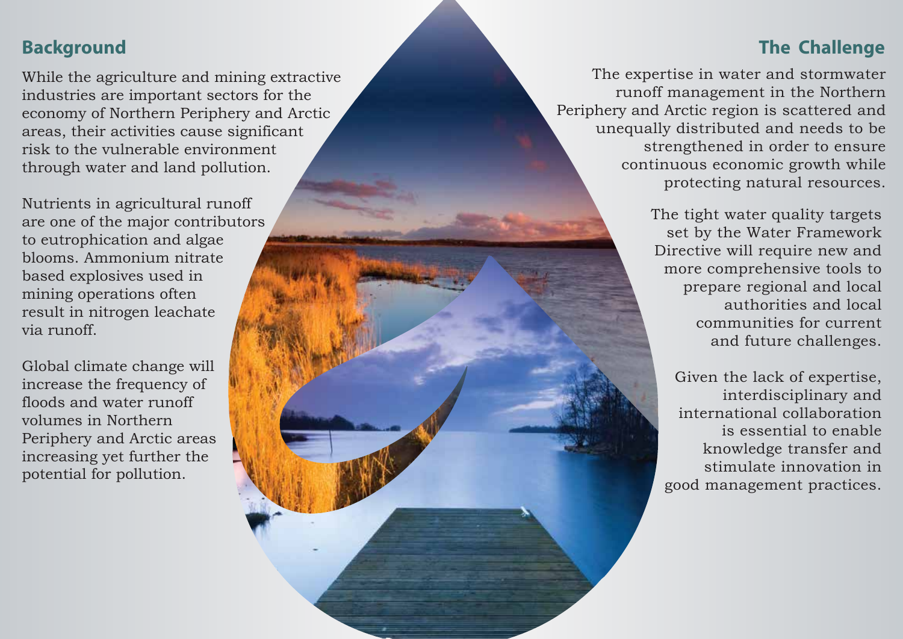### **The Challenge**

The expertise in water and stormwater runoff management in the Northern Periphery and Arctic region is scattered and unequally distributed and needs to be strengthened in order to ensure continuous economic growth while protecting natural resources.

> The tight water quality targets set by the Water Framework Directive will require new and more comprehensive tools to prepare regional and local authorities and local communities for current and future challenges.

Given the lack of expertise, interdisciplinary and international collaboration is essential to enable knowledge transfer and stimulate innovation in good management practices.

## **Background**

While the agriculture and mining extractive industries are important sectors for the economy of Northern Periphery and Arctic areas, their activities cause significant risk to the vulnerable environment through water and land pollution.

Nutrients in agricultural runoff are one of the major contributors to eutrophication and algae blooms. Ammonium nitrate based explosives used in mining operations often result in nitrogen leachate via runoff.

Global climate change will increase the frequency of floods and water runoff volumes in Northern Periphery and Arctic areas increasing yet further the potential for pollution.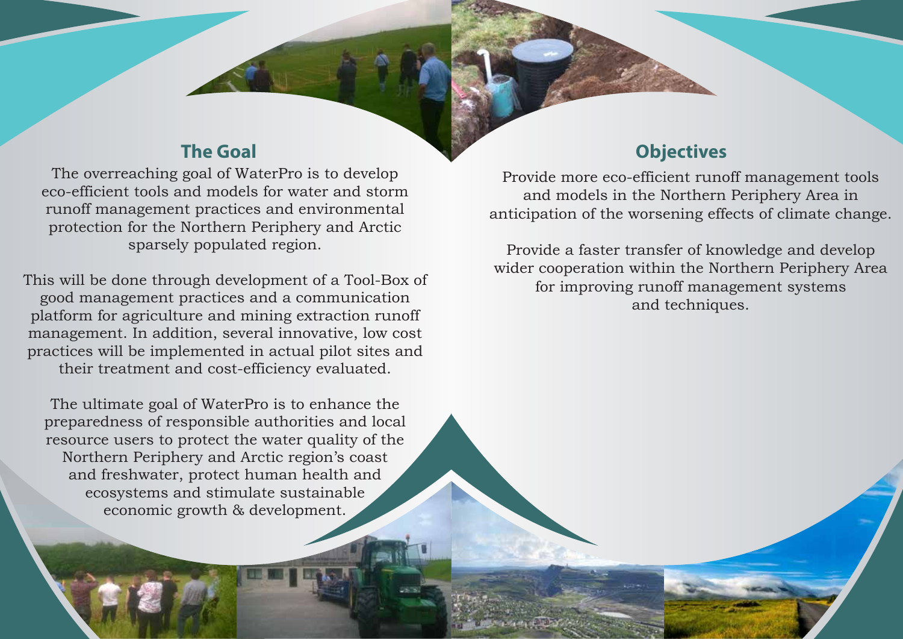The overreaching goal of WaterPro is to develop eco-efficient tools and models for water and storm runoff management practices and environmental protection for the Northern Periphery and Arctic sparsely populated region.

This will be done through development of a Tool-Box of good management practices and a communication platform for agriculture and mining extraction runoff management. In addition, several innovative, low cost practices will be implemented in actual pilot sites and their treatment and cost-efficiency evaluated.

The ultimate goal of WaterPro is to enhance the preparedness of responsible authorities and local resource users to protect the water quality of the Northern Periphery and Arctic region's coast and freshwater, protect human health and ecosystems and stimulate sustainable economic growth & development.

#### **The Goal Objectives**

Provide more eco-efficient runoff management tools and models in the Northern Periphery Area in anticipation of the worsening effects of climate change.

Provide a faster transfer of knowledge and develop wider cooperation within the Northern Periphery Area for improving runoff management systems and techniques.